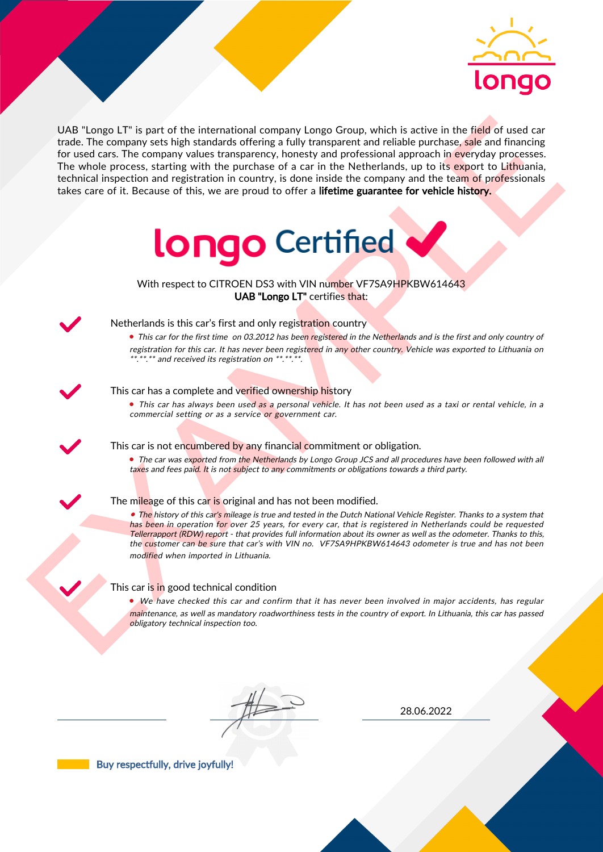

UAS "Lange LIT" is part of the interactional company longe Group, which is active in the field of used car<br>for the field of the control and the interaction between the particles are proposed in the Methodian distribution UAB "Longo LT" is part of the international company Longo Group, which is active in the field of used car trade. The company sets high standards offering a fully transparent and reliable purchase, sale and financing for used cars. The company values transparency, honesty and professional approach in everyday processes. The whole process, starting with the purchase of a car in the Netherlands, up to its export to Lithuania, technical inspection and registration in country, is done inside the company and the team of professionals takes care of it. Because of this, we are proud to offer a lifetime guarantee for vehicle history.



With respect to CITROEN DS3 with VIN number VF7SA9HPKBW614643 UAB "Longo LT" certifies that:



# Netherlands is this car's first and only registration country

• This car for the first time on 03.2012 has been registered in the Netherlands and is the first and only country of registration for this car. It has never been registered in any other country. Vehicle was exported to Lithuania on \*.\*\*.\*\* and received its registration on \*\*.\*\*.\*\*.

### This car has a complete and verified ownership history

• This car has always been used as a personal vehicle. It has not been used as a taxi or rental vehicle, in a commercial setting or as a service or government car.

This car is not encumbered by any financial commitment or obligation.

• The car was exported from the Netherlands by Longo Group JCS and all procedures have been followed with all taxes and fees paid. It is not subject to any commitments or obligations towards a third party.

## The mileage of this car is original and has not been modified.

• The history of this car's mileage is true and tested in the Dutch National Vehicle Register. Thanks to a system that has been in operation for over 25 years, for every car, that is registered in Netherlands could be requested Tellerrapport (RDW) report - that provides full information about its owner as well as the odometer. Thanks to this, the customer can be sure that car's with VIN no. VF7SA9HPKBW614643 odometer is true and has not been modified when imported in Lithuania.

## This car is in good technical condition

• We have checked this car and confirm that it has never been involved in major accidents, has regular maintenance, as well as mandatory roadworthiness tests in the country of export. In Lithuania, this car has passed obligatory technical inspection too.

28.06.2022

Buy respectfully, drive joyfully!